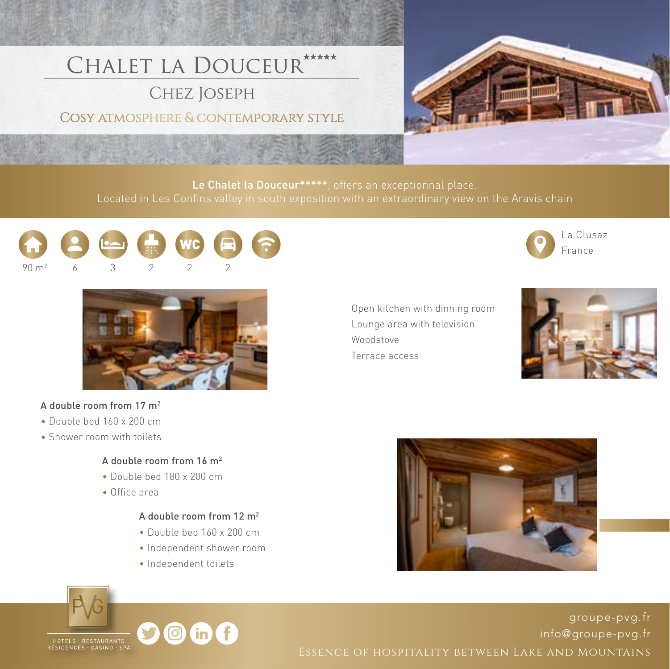# CHALET LA DOUCEUR \*\*\*\*\*

**CHEZ JOSEPH** 

COSY ATMOSPHERE & CONTEMPORARY STYLE



Le Chalet la Douceur\*\*\*\*\*, offers an exceptionnal place.





#### A double room from 17 m2

- Double bed 160 x 200 cm
- Shower room with toilets
	- A double room from 16 m2
	- Double bed 180 x 200 cm
	- Office area

#### A double room from 12 m2

- Double bed 160 x 200 cm
- Independent shower room

 $in$  (f

• Independent toilets







[groupe-pvg.fr](http://www.groupe-pvg.fr/en) [info@groupe-pvg.fr](mailto:info@groupe-pvg.fr) Essence of hospitality between Lake and Mountains



 Open kitchen with dinning room Lounge area with television Woodstove Terrace access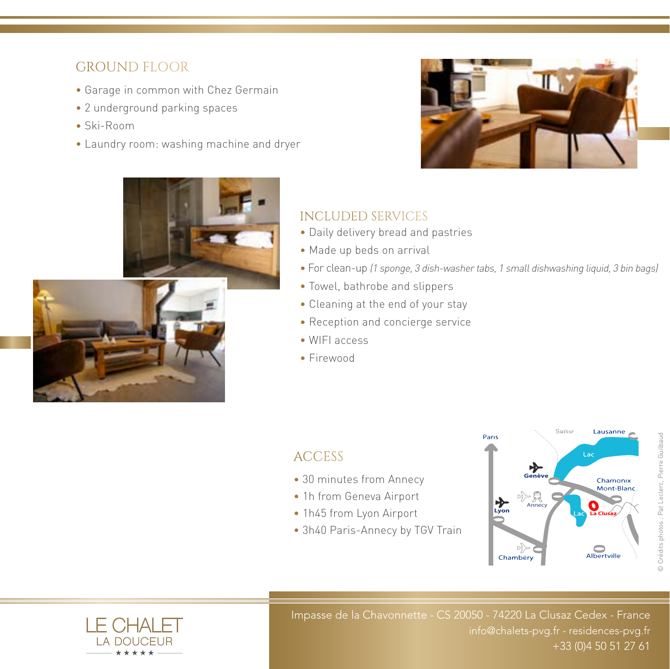## GROUND FLOOR

- Garage in common with Chez Germain
- 2 underground parking spaces
- Ski-Room
- Laundry room: washing machine and dryer





### INCLUDED SERVICES

- Daily delivery bread and pastries
- Made up beds on arrival
- For clean-up (1 sponge, 3 dish-washer tabs, 1 small dishwashing liquid, 3 bin bags)
- Towel, bathrobe and slippers
- Cleaning at the end of your stay
- Reception and concierge service
- WIFI access
- Firewood

## **ACCESS**

- 30 minutes from Annecy
- 1h from Geneva Airport
- 1h45 from Lyon Airport
- 3h40 Paris-Annecy by TGV Train





Impasse de la Chavonnette - CS 20050 - 74220 La Clusaz Cedex - France [info@chalets-pvg.fr](mailto:info@chalets-pvg.fr) - [residences-pvg.fr](http://www.residences-pvg.fr) +33 (0)4 50 51 27 61 +33 (0)4 50 51 27 61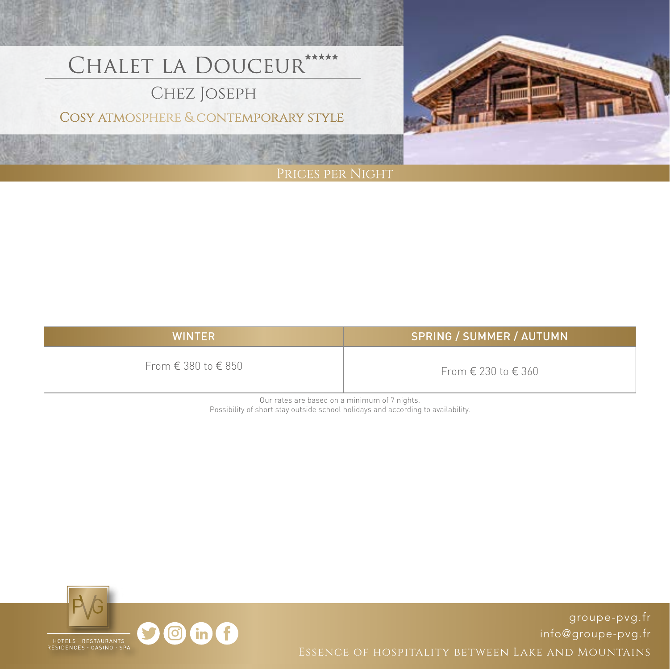# CHALET LA DOUCEUR \*\*\*\*\*

## CHEZ JOSEPH

COSY ATMOSPHERE & CONTEMPORARY STYLE



| <b>WINTER</b>                         | <b>SPRING / SUMMER / AUTUMN</b> |
|---------------------------------------|---------------------------------|
| From $\epsilon$ 380 to $\epsilon$ 850 | From € 230 to € 360             |

Our rates are based on a minimum of 7 nights. Possibility of short stay outside school holidays and according to availability.



[groupe-pvg.fr](http://www.groupe-pvg.fr/en) [info@groupe-pvg.fr](mailto:info@groupe-pvg.fr)